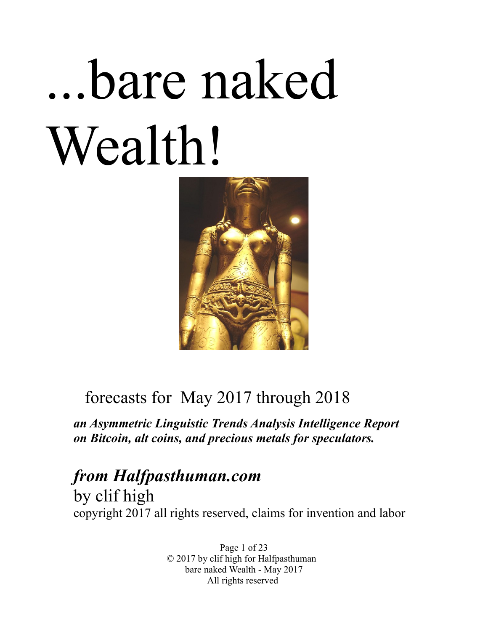# ...bare naked Wealth!



# forecasts for May 2017 through 2018

*an Asymmetric Linguistic Trends Analysis Intelligence Report on Bitcoin, alt coins, and precious metals for speculators.* 

*from Halfpasthuman.com* by clif high copyright 2017 all rights reserved, claims for invention and labor

> Page 1 of 23 © 2017 by clif high for Halfpasthuman bare naked Wealth - May 2017 All rights reserved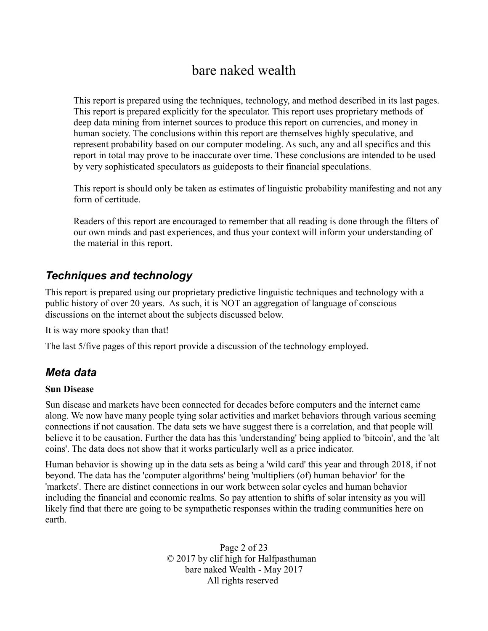# bare naked wealth

This report is prepared using the techniques, technology, and method described in its last pages. This report is prepared explicitly for the speculator. This report uses proprietary methods of deep data mining from internet sources to produce this report on currencies, and money in human society. The conclusions within this report are themselves highly speculative, and represent probability based on our computer modeling. As such, any and all specifics and this report in total may prove to be inaccurate over time. These conclusions are intended to be used by very sophisticated speculators as guideposts to their financial speculations.

This report is should only be taken as estimates of linguistic probability manifesting and not any form of certitude.

Readers of this report are encouraged to remember that all reading is done through the filters of our own minds and past experiences, and thus your context will inform your understanding of the material in this report.

# *Techniques and technology*

This report is prepared using our proprietary predictive linguistic techniques and technology with a public history of over 20 years. As such, it is NOT an aggregation of language of conscious discussions on the internet about the subjects discussed below.

It is way more spooky than that!

The last 5/five pages of this report provide a discussion of the technology employed.

#### *Meta data*

#### **Sun Disease**

Sun disease and markets have been connected for decades before computers and the internet came along. We now have many people tying solar activities and market behaviors through various seeming connections if not causation. The data sets we have suggest there is a correlation, and that people will believe it to be causation. Further the data has this 'understanding' being applied to 'bitcoin', and the 'alt coins'. The data does not show that it works particularly well as a price indicator.

Human behavior is showing up in the data sets as being a 'wild card' this year and through 2018, if not beyond. The data has the 'computer algorithms' being 'multipliers (of) human behavior' for the 'markets'. There are distinct connections in our work between solar cycles and human behavior including the financial and economic realms. So pay attention to shifts of solar intensity as you will likely find that there are going to be sympathetic responses within the trading communities here on earth.

> Page 2 of 23 © 2017 by clif high for Halfpasthuman bare naked Wealth - May 2017 All rights reserved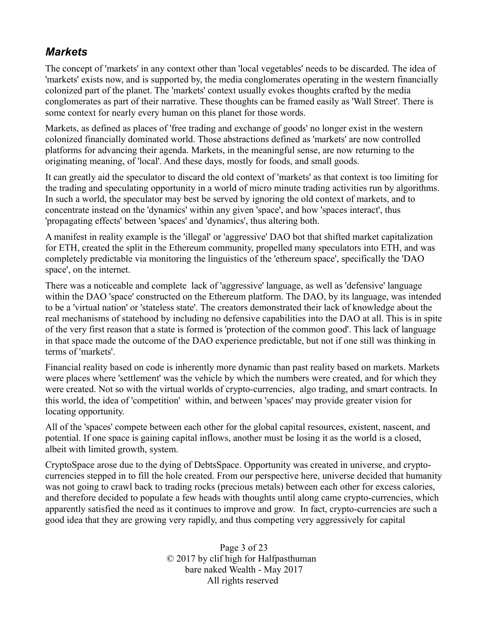# *Markets*

The concept of 'markets' in any context other than 'local vegetables' needs to be discarded. The idea of 'markets' exists now, and is supported by, the media conglomerates operating in the western financially colonized part of the planet. The 'markets' context usually evokes thoughts crafted by the media conglomerates as part of their narrative. These thoughts can be framed easily as 'Wall Street'. There is some context for nearly every human on this planet for those words.

Markets, as defined as places of 'free trading and exchange of goods' no longer exist in the western colonized financially dominated world. Those abstractions defined as 'markets' are now controlled platforms for advancing their agenda. Markets, in the meaningful sense, are now returning to the originating meaning, of 'local'. And these days, mostly for foods, and small goods.

It can greatly aid the speculator to discard the old context of 'markets' as that context is too limiting for the trading and speculating opportunity in a world of micro minute trading activities run by algorithms. In such a world, the speculator may best be served by ignoring the old context of markets, and to concentrate instead on the 'dynamics' within any given 'space', and how 'spaces interact', thus 'propagating effects' between 'spaces' and 'dynamics', thus altering both.

A manifest in reality example is the 'illegal' or 'aggressive' DAO bot that shifted market capitalization for ETH, created the split in the Ethereum community, propelled many speculators into ETH, and was completely predictable via monitoring the linguistics of the 'ethereum space', specifically the 'DAO space', on the internet.

There was a noticeable and complete lack of 'aggressive' language, as well as 'defensive' language within the DAO 'space' constructed on the Ethereum platform. The DAO, by its language, was intended to be a 'virtual nation' or 'stateless state'. The creators demonstrated their lack of knowledge about the real mechanisms of statehood by including no defensive capabilities into the DAO at all. This is in spite of the very first reason that a state is formed is 'protection of the common good'. This lack of language in that space made the outcome of the DAO experience predictable, but not if one still was thinking in terms of 'markets'.

Financial reality based on code is inherently more dynamic than past reality based on markets. Markets were places where 'settlement' was the vehicle by which the numbers were created, and for which they were created. Not so with the virtual worlds of crypto-currencies, algo trading, and smart contracts. In this world, the idea of 'competition' within, and between 'spaces' may provide greater vision for locating opportunity.

All of the 'spaces' compete between each other for the global capital resources, existent, nascent, and potential. If one space is gaining capital inflows, another must be losing it as the world is a closed, albeit with limited growth, system.

CryptoSpace arose due to the dying of DebtsSpace. Opportunity was created in universe, and cryptocurrencies stepped in to fill the hole created. From our perspective here, universe decided that humanity was not going to crawl back to trading rocks (precious metals) between each other for excess calories, and therefore decided to populate a few heads with thoughts until along came crypto-currencies, which apparently satisfied the need as it continues to improve and grow. In fact, crypto-currencies are such a good idea that they are growing very rapidly, and thus competing very aggressively for capital

> Page 3 of 23 © 2017 by clif high for Halfpasthuman bare naked Wealth - May 2017 All rights reserved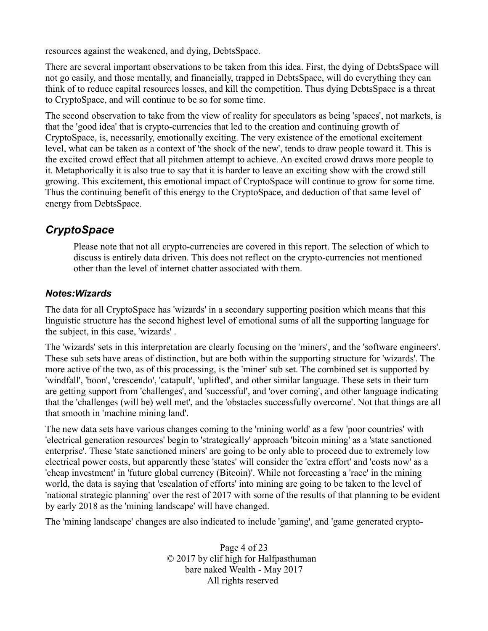resources against the weakened, and dying, DebtsSpace.

There are several important observations to be taken from this idea. First, the dying of DebtsSpace will not go easily, and those mentally, and financially, trapped in DebtsSpace, will do everything they can think of to reduce capital resources losses, and kill the competition. Thus dying DebtsSpace is a threat to CryptoSpace, and will continue to be so for some time.

The second observation to take from the view of reality for speculators as being 'spaces', not markets, is that the 'good idea' that is crypto-currencies that led to the creation and continuing growth of CryptoSpace, is, necessarily, emotionally exciting. The very existence of the emotional excitement level, what can be taken as a context of 'the shock of the new', tends to draw people toward it. This is the excited crowd effect that all pitchmen attempt to achieve. An excited crowd draws more people to it. Metaphorically it is also true to say that it is harder to leave an exciting show with the crowd still growing. This excitement, this emotional impact of CryptoSpace will continue to grow for some time. Thus the continuing benefit of this energy to the CryptoSpace, and deduction of that same level of energy from DebtsSpace.

#### *CryptoSpace*

Please note that not all crypto-currencies are covered in this report. The selection of which to discuss is entirely data driven. This does not reflect on the crypto-currencies not mentioned other than the level of internet chatter associated with them.

#### *Notes:Wizards*

The data for all CryptoSpace has 'wizards' in a secondary supporting position which means that this linguistic structure has the second highest level of emotional sums of all the supporting language for the subject, in this case, 'wizards' .

The 'wizards' sets in this interpretation are clearly focusing on the 'miners', and the 'software engineers'. These sub sets have areas of distinction, but are both within the supporting structure for 'wizards'. The more active of the two, as of this processing, is the 'miner' sub set. The combined set is supported by 'windfall', 'boon', 'crescendo', 'catapult', 'uplifted', and other similar language. These sets in their turn are getting support from 'challenges', and 'successful', and 'over coming', and other language indicating that the 'challenges (will be) well met', and the 'obstacles successfully overcome'. Not that things are all that smooth in 'machine mining land'.

The new data sets have various changes coming to the 'mining world' as a few 'poor countries' with 'electrical generation resources' begin to 'strategically' approach 'bitcoin mining' as a 'state sanctioned enterprise'. These 'state sanctioned miners' are going to be only able to proceed due to extremely low electrical power costs, but apparently these 'states' will consider the 'extra effort' and 'costs now' as a 'cheap investment' in 'future global currency (Bitcoin)'. While not forecasting a 'race' in the mining world, the data is saying that 'escalation of efforts' into mining are going to be taken to the level of 'national strategic planning' over the rest of 2017 with some of the results of that planning to be evident by early 2018 as the 'mining landscape' will have changed.

The 'mining landscape' changes are also indicated to include 'gaming', and 'game generated crypto-

Page 4 of 23 © 2017 by clif high for Halfpasthuman bare naked Wealth - May 2017 All rights reserved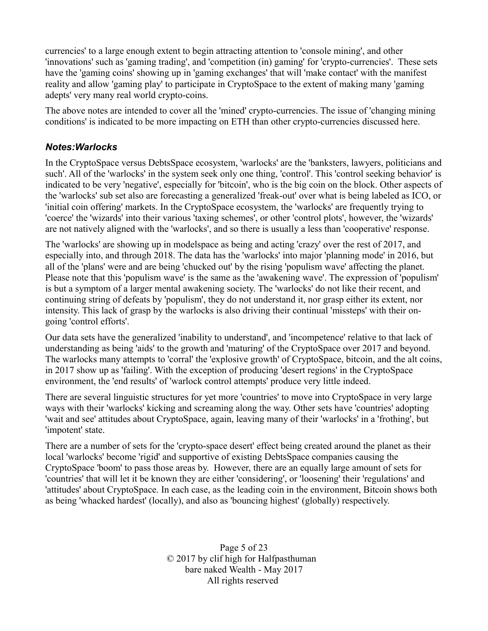currencies' to a large enough extent to begin attracting attention to 'console mining', and other 'innovations' such as 'gaming trading', and 'competition (in) gaming' for 'crypto-currencies'. These sets have the 'gaming coins' showing up in 'gaming exchanges' that will 'make contact' with the manifest reality and allow 'gaming play' to participate in CryptoSpace to the extent of making many 'gaming adepts' very many real world crypto-coins.

The above notes are intended to cover all the 'mined' crypto-currencies. The issue of 'changing mining conditions' is indicated to be more impacting on ETH than other crypto-currencies discussed here.

#### *Notes:Warlocks*

In the CryptoSpace versus DebtsSpace ecosystem, 'warlocks' are the 'banksters, lawyers, politicians and such'. All of the 'warlocks' in the system seek only one thing, 'control'. This 'control seeking behavior' is indicated to be very 'negative', especially for 'bitcoin', who is the big coin on the block. Other aspects of the 'warlocks' sub set also are forecasting a generalized 'freak-out' over what is being labeled as ICO, or 'initial coin offering' markets. In the CryptoSpace ecosystem, the 'warlocks' are frequently trying to 'coerce' the 'wizards' into their various 'taxing schemes', or other 'control plots', however, the 'wizards' are not natively aligned with the 'warlocks', and so there is usually a less than 'cooperative' response.

The 'warlocks' are showing up in modelspace as being and acting 'crazy' over the rest of 2017, and especially into, and through 2018. The data has the 'warlocks' into major 'planning mode' in 2016, but all of the 'plans' were and are being 'chucked out' by the rising 'populism wave' affecting the planet. Please note that this 'populism wave' is the same as the 'awakening wave'. The expression of 'populism' is but a symptom of a larger mental awakening society. The 'warlocks' do not like their recent, and continuing string of defeats by 'populism', they do not understand it, nor grasp either its extent, nor intensity. This lack of grasp by the warlocks is also driving their continual 'missteps' with their ongoing 'control efforts'.

Our data sets have the generalized 'inability to understand', and 'incompetence' relative to that lack of understanding as being 'aids' to the growth and 'maturing' of the CryptoSpace over 2017 and beyond. The warlocks many attempts to 'corral' the 'explosive growth' of CryptoSpace, bitcoin, and the alt coins, in 2017 show up as 'failing'. With the exception of producing 'desert regions' in the CryptoSpace environment, the 'end results' of 'warlock control attempts' produce very little indeed.

There are several linguistic structures for yet more 'countries' to move into CryptoSpace in very large ways with their 'warlocks' kicking and screaming along the way. Other sets have 'countries' adopting 'wait and see' attitudes about CryptoSpace, again, leaving many of their 'warlocks' in a 'frothing', but 'impotent' state.

There are a number of sets for the 'crypto-space desert' effect being created around the planet as their local 'warlocks' become 'rigid' and supportive of existing DebtsSpace companies causing the CryptoSpace 'boom' to pass those areas by. However, there are an equally large amount of sets for 'countries' that will let it be known they are either 'considering', or 'loosening' their 'regulations' and 'attitudes' about CryptoSpace. In each case, as the leading coin in the environment, Bitcoin shows both as being 'whacked hardest' (locally), and also as 'bouncing highest' (globally) respectively.

> Page 5 of 23 © 2017 by clif high for Halfpasthuman bare naked Wealth - May 2017 All rights reserved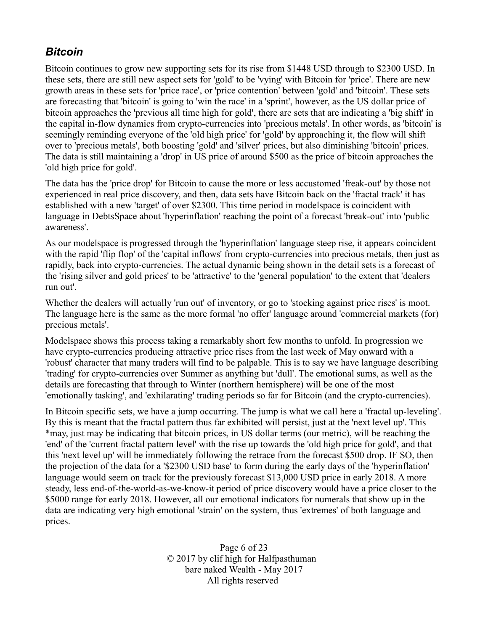# *Bitcoin*

Bitcoin continues to grow new supporting sets for its rise from \$1448 USD through to \$2300 USD. In these sets, there are still new aspect sets for 'gold' to be 'vying' with Bitcoin for 'price'. There are new growth areas in these sets for 'price race', or 'price contention' between 'gold' and 'bitcoin'. These sets are forecasting that 'bitcoin' is going to 'win the race' in a 'sprint', however, as the US dollar price of bitcoin approaches the 'previous all time high for gold', there are sets that are indicating a 'big shift' in the capital in-flow dynamics from crypto-currencies into 'precious metals'. In other words, as 'bitcoin' is seemingly reminding everyone of the 'old high price' for 'gold' by approaching it, the flow will shift over to 'precious metals', both boosting 'gold' and 'silver' prices, but also diminishing 'bitcoin' prices. The data is still maintaining a 'drop' in US price of around \$500 as the price of bitcoin approaches the 'old high price for gold'.

The data has the 'price drop' for Bitcoin to cause the more or less accustomed 'freak-out' by those not experienced in real price discovery, and then, data sets have Bitcoin back on the 'fractal track' it has established with a new 'target' of over \$2300. This time period in modelspace is coincident with language in DebtsSpace about 'hyperinflation' reaching the point of a forecast 'break-out' into 'public awareness'.

As our modelspace is progressed through the 'hyperinflation' language steep rise, it appears coincident with the rapid 'flip flop' of the 'capital inflows' from crypto-currencies into precious metals, then just as rapidly, back into crypto-currencies. The actual dynamic being shown in the detail sets is a forecast of the 'rising silver and gold prices' to be 'attractive' to the 'general population' to the extent that 'dealers run out'.

Whether the dealers will actually 'run out' of inventory, or go to 'stocking against price rises' is moot. The language here is the same as the more formal 'no offer' language around 'commercial markets (for) precious metals'.

Modelspace shows this process taking a remarkably short few months to unfold. In progression we have crypto-currencies producing attractive price rises from the last week of May onward with a 'robust' character that many traders will find to be palpable. This is to say we have language describing 'trading' for crypto-currencies over Summer as anything but 'dull'. The emotional sums, as well as the details are forecasting that through to Winter (northern hemisphere) will be one of the most 'emotionally tasking', and 'exhilarating' trading periods so far for Bitcoin (and the crypto-currencies).

In Bitcoin specific sets, we have a jump occurring. The jump is what we call here a 'fractal up-leveling'. By this is meant that the fractal pattern thus far exhibited will persist, just at the 'next level up'. This \*may, just may be indicating that bitcoin prices, in US dollar terms (our metric), will be reaching the 'end' of the 'current fractal pattern level' with the rise up towards the 'old high price for gold', and that this 'next level up' will be immediately following the retrace from the forecast \$500 drop. IF SO, then the projection of the data for a '\$2300 USD base' to form during the early days of the 'hyperinflation' language would seem on track for the previously forecast \$13,000 USD price in early 2018. A more steady, less end-of-the-world-as-we-know-it period of price discovery would have a price closer to the \$5000 range for early 2018. However, all our emotional indicators for numerals that show up in the data are indicating very high emotional 'strain' on the system, thus 'extremes' of both language and prices.

> Page 6 of 23 © 2017 by clif high for Halfpasthuman bare naked Wealth - May 2017 All rights reserved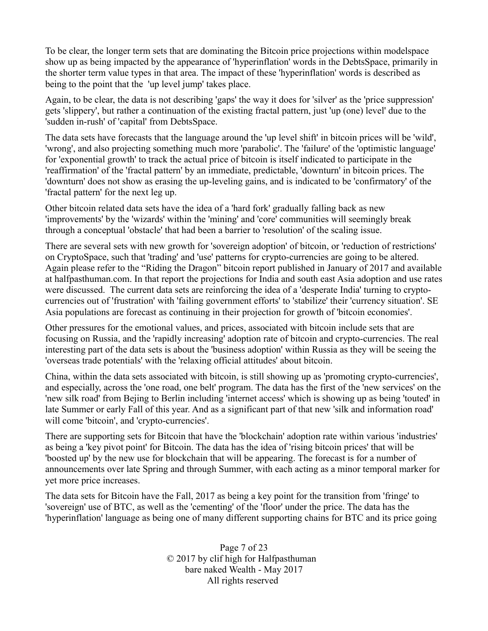To be clear, the longer term sets that are dominating the Bitcoin price projections within modelspace show up as being impacted by the appearance of 'hyperinflation' words in the DebtsSpace, primarily in the shorter term value types in that area. The impact of these 'hyperinflation' words is described as being to the point that the 'up level jump' takes place.

Again, to be clear, the data is not describing 'gaps' the way it does for 'silver' as the 'price suppression' gets 'slippery', but rather a continuation of the existing fractal pattern, just 'up (one) level' due to the 'sudden in-rush' of 'capital' from DebtsSpace.

The data sets have forecasts that the language around the 'up level shift' in bitcoin prices will be 'wild', 'wrong', and also projecting something much more 'parabolic'. The 'failure' of the 'optimistic language' for 'exponential growth' to track the actual price of bitcoin is itself indicated to participate in the 'reaffirmation' of the 'fractal pattern' by an immediate, predictable, 'downturn' in bitcoin prices. The 'downturn' does not show as erasing the up-leveling gains, and is indicated to be 'confirmatory' of the 'fractal pattern' for the next leg up.

Other bitcoin related data sets have the idea of a 'hard fork' gradually falling back as new 'improvements' by the 'wizards' within the 'mining' and 'core' communities will seemingly break through a conceptual 'obstacle' that had been a barrier to 'resolution' of the scaling issue.

There are several sets with new growth for 'sovereign adoption' of bitcoin, or 'reduction of restrictions' on CryptoSpace, such that 'trading' and 'use' patterns for crypto-currencies are going to be altered. Again please refer to the "Riding the Dragon" bitcoin report published in January of 2017 and available at halfpasthuman.com. In that report the projections for India and south east Asia adoption and use rates were discussed. The current data sets are reinforcing the idea of a 'desperate India' turning to cryptocurrencies out of 'frustration' with 'failing government efforts' to 'stabilize' their 'currency situation'. SE Asia populations are forecast as continuing in their projection for growth of 'bitcoin economies'.

Other pressures for the emotional values, and prices, associated with bitcoin include sets that are focusing on Russia, and the 'rapidly increasing' adoption rate of bitcoin and crypto-currencies. The real interesting part of the data sets is about the 'business adoption' within Russia as they will be seeing the 'overseas trade potentials' with the 'relaxing official attitudes' about bitcoin.

China, within the data sets associated with bitcoin, is still showing up as 'promoting crypto-currencies', and especially, across the 'one road, one belt' program. The data has the first of the 'new services' on the 'new silk road' from Bejing to Berlin including 'internet access' which is showing up as being 'touted' in late Summer or early Fall of this year. And as a significant part of that new 'silk and information road' will come 'bitcoin', and 'crypto-currencies'.

There are supporting sets for Bitcoin that have the 'blockchain' adoption rate within various 'industries' as being a 'key pivot point' for Bitcoin. The data has the idea of 'rising bitcoin prices' that will be 'boosted up' by the new use for blockchain that will be appearing. The forecast is for a number of announcements over late Spring and through Summer, with each acting as a minor temporal marker for yet more price increases.

The data sets for Bitcoin have the Fall, 2017 as being a key point for the transition from 'fringe' to 'sovereign' use of BTC, as well as the 'cementing' of the 'floor' under the price. The data has the 'hyperinflation' language as being one of many different supporting chains for BTC and its price going

> Page 7 of 23 © 2017 by clif high for Halfpasthuman bare naked Wealth - May 2017 All rights reserved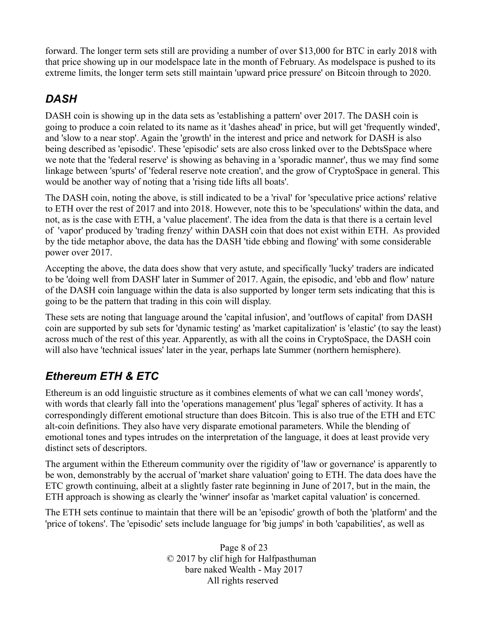forward. The longer term sets still are providing a number of over \$13,000 for BTC in early 2018 with that price showing up in our modelspace late in the month of February. As modelspace is pushed to its extreme limits, the longer term sets still maintain 'upward price pressure' on Bitcoin through to 2020.

# *DASH*

DASH coin is showing up in the data sets as 'establishing a pattern' over 2017. The DASH coin is going to produce a coin related to its name as it 'dashes ahead' in price, but will get 'frequently winded', and 'slow to a near stop'. Again the 'growth' in the interest and price and network for DASH is also being described as 'episodic'. These 'episodic' sets are also cross linked over to the DebtsSpace where we note that the 'federal reserve' is showing as behaving in a 'sporadic manner', thus we may find some linkage between 'spurts' of 'federal reserve note creation', and the grow of CryptoSpace in general. This would be another way of noting that a 'rising tide lifts all boats'.

The DASH coin, noting the above, is still indicated to be a 'rival' for 'speculative price actions' relative to ETH over the rest of 2017 and into 2018. However, note this to be 'speculations' within the data, and not, as is the case with ETH, a 'value placement'. The idea from the data is that there is a certain level of 'vapor' produced by 'trading frenzy' within DASH coin that does not exist within ETH. As provided by the tide metaphor above, the data has the DASH 'tide ebbing and flowing' with some considerable power over 2017.

Accepting the above, the data does show that very astute, and specifically 'lucky' traders are indicated to be 'doing well from DASH' later in Summer of 2017. Again, the episodic, and 'ebb and flow' nature of the DASH coin language within the data is also supported by longer term sets indicating that this is going to be the pattern that trading in this coin will display.

These sets are noting that language around the 'capital infusion', and 'outflows of capital' from DASH coin are supported by sub sets for 'dynamic testing' as 'market capitalization' is 'elastic' (to say the least) across much of the rest of this year. Apparently, as with all the coins in CryptoSpace, the DASH coin will also have 'technical issues' later in the year, perhaps late Summer (northern hemisphere).

# *Ethereum ETH & ETC*

Ethereum is an odd linguistic structure as it combines elements of what we can call 'money words', with words that clearly fall into the 'operations management' plus 'legal' spheres of activity. It has a correspondingly different emotional structure than does Bitcoin. This is also true of the ETH and ETC alt-coin definitions. They also have very disparate emotional parameters. While the blending of emotional tones and types intrudes on the interpretation of the language, it does at least provide very distinct sets of descriptors.

The argument within the Ethereum community over the rigidity of 'law or governance' is apparently to be won, demonstrably by the accrual of 'market share valuation' going to ETH. The data does have the ETC growth continuing, albeit at a slightly faster rate beginning in June of 2017, but in the main, the ETH approach is showing as clearly the 'winner' insofar as 'market capital valuation' is concerned.

The ETH sets continue to maintain that there will be an 'episodic' growth of both the 'platform' and the 'price of tokens'. The 'episodic' sets include language for 'big jumps' in both 'capabilities', as well as

> Page 8 of 23 © 2017 by clif high for Halfpasthuman bare naked Wealth - May 2017 All rights reserved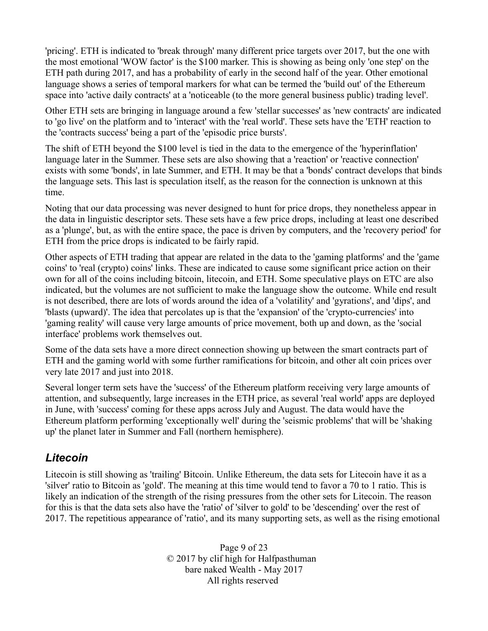'pricing'. ETH is indicated to 'break through' many different price targets over 2017, but the one with the most emotional 'WOW factor' is the \$100 marker. This is showing as being only 'one step' on the ETH path during 2017, and has a probability of early in the second half of the year. Other emotional language shows a series of temporal markers for what can be termed the 'build out' of the Ethereum space into 'active daily contracts' at a 'noticeable (to the more general business public) trading level'.

Other ETH sets are bringing in language around a few 'stellar successes' as 'new contracts' are indicated to 'go live' on the platform and to 'interact' with the 'real world'. These sets have the 'ETH' reaction to the 'contracts success' being a part of the 'episodic price bursts'.

The shift of ETH beyond the \$100 level is tied in the data to the emergence of the 'hyperinflation' language later in the Summer. These sets are also showing that a 'reaction' or 'reactive connection' exists with some 'bonds', in late Summer, and ETH. It may be that a 'bonds' contract develops that binds the language sets. This last is speculation itself, as the reason for the connection is unknown at this time.

Noting that our data processing was never designed to hunt for price drops, they nonetheless appear in the data in linguistic descriptor sets. These sets have a few price drops, including at least one described as a 'plunge', but, as with the entire space, the pace is driven by computers, and the 'recovery period' for ETH from the price drops is indicated to be fairly rapid.

Other aspects of ETH trading that appear are related in the data to the 'gaming platforms' and the 'game coins' to 'real (crypto) coins' links. These are indicated to cause some significant price action on their own for all of the coins including bitcoin, litecoin, and ETH. Some speculative plays on ETC are also indicated, but the volumes are not sufficient to make the language show the outcome. While end result is not described, there are lots of words around the idea of a 'volatility' and 'gyrations', and 'dips', and 'blasts (upward)'. The idea that percolates up is that the 'expansion' of the 'crypto-currencies' into 'gaming reality' will cause very large amounts of price movement, both up and down, as the 'social interface' problems work themselves out.

Some of the data sets have a more direct connection showing up between the smart contracts part of ETH and the gaming world with some further ramifications for bitcoin, and other alt coin prices over very late 2017 and just into 2018.

Several longer term sets have the 'success' of the Ethereum platform receiving very large amounts of attention, and subsequently, large increases in the ETH price, as several 'real world' apps are deployed in June, with 'success' coming for these apps across July and August. The data would have the Ethereum platform performing 'exceptionally well' during the 'seismic problems' that will be 'shaking up' the planet later in Summer and Fall (northern hemisphere).

# *Litecoin*

Litecoin is still showing as 'trailing' Bitcoin. Unlike Ethereum, the data sets for Litecoin have it as a 'silver' ratio to Bitcoin as 'gold'. The meaning at this time would tend to favor a 70 to 1 ratio. This is likely an indication of the strength of the rising pressures from the other sets for Litecoin. The reason for this is that the data sets also have the 'ratio' of 'silver to gold' to be 'descending' over the rest of 2017. The repetitious appearance of 'ratio', and its many supporting sets, as well as the rising emotional

> Page 9 of 23 © 2017 by clif high for Halfpasthuman bare naked Wealth - May 2017 All rights reserved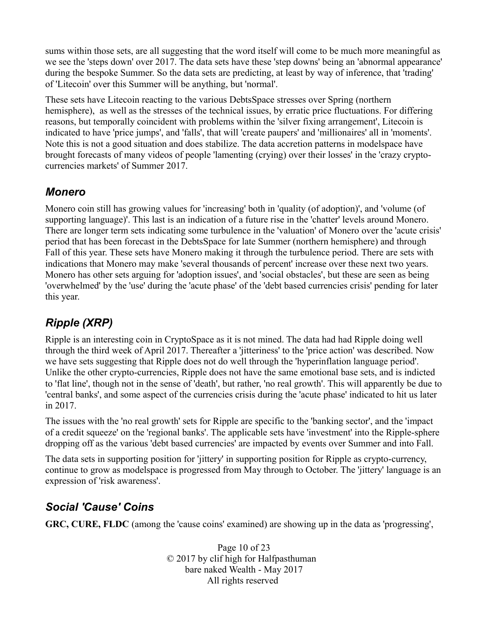sums within those sets, are all suggesting that the word itself will come to be much more meaningful as we see the 'steps down' over 2017. The data sets have these 'step downs' being an 'abnormal appearance' during the bespoke Summer. So the data sets are predicting, at least by way of inference, that 'trading' of 'Litecoin' over this Summer will be anything, but 'normal'.

These sets have Litecoin reacting to the various DebtsSpace stresses over Spring (northern hemisphere), as well as the stresses of the technical issues, by erratic price fluctuations. For differing reasons, but temporally coincident with problems within the 'silver fixing arrangement', Litecoin is indicated to have 'price jumps', and 'falls', that will 'create paupers' and 'millionaires' all in 'moments'. Note this is not a good situation and does stabilize. The data accretion patterns in modelspace have brought forecasts of many videos of people 'lamenting (crying) over their losses' in the 'crazy cryptocurrencies markets' of Summer 2017.

#### *Monero*

Monero coin still has growing values for 'increasing' both in 'quality (of adoption)', and 'volume (of supporting language)'. This last is an indication of a future rise in the 'chatter' levels around Monero. There are longer term sets indicating some turbulence in the 'valuation' of Monero over the 'acute crisis' period that has been forecast in the DebtsSpace for late Summer (northern hemisphere) and through Fall of this year. These sets have Monero making it through the turbulence period. There are sets with indications that Monero may make 'several thousands of percent' increase over these next two years. Monero has other sets arguing for 'adoption issues', and 'social obstacles', but these are seen as being 'overwhelmed' by the 'use' during the 'acute phase' of the 'debt based currencies crisis' pending for later this year.

# *Ripple (XRP)*

Ripple is an interesting coin in CryptoSpace as it is not mined. The data had had Ripple doing well through the third week of April 2017. Thereafter a 'jitteriness' to the 'price action' was described. Now we have sets suggesting that Ripple does not do well through the 'hyperinflation language period'. Unlike the other crypto-currencies, Ripple does not have the same emotional base sets, and is indicted to 'flat line', though not in the sense of 'death', but rather, 'no real growth'. This will apparently be due to 'central banks', and some aspect of the currencies crisis during the 'acute phase' indicated to hit us later in 2017.

The issues with the 'no real growth' sets for Ripple are specific to the 'banking sector', and the 'impact of a credit squeeze' on the 'regional banks'. The applicable sets have 'investment' into the Ripple-sphere dropping off as the various 'debt based currencies' are impacted by events over Summer and into Fall.

The data sets in supporting position for 'jittery' in supporting position for Ripple as crypto-currency, continue to grow as modelspace is progressed from May through to October. The 'jittery' language is an expression of 'risk awareness'.

# *Social 'Cause' Coins*

**GRC, CURE, FLDC** (among the 'cause coins' examined) are showing up in the data as 'progressing',

Page 10 of 23 © 2017 by clif high for Halfpasthuman bare naked Wealth - May 2017 All rights reserved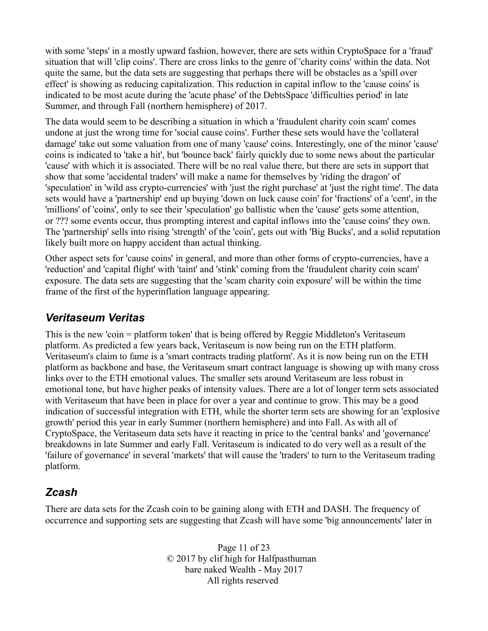with some 'steps' in a mostly upward fashion, however, there are sets within CryptoSpace for a 'fraud' situation that will 'clip coins'. There are cross links to the genre of 'charity coins' within the data. Not quite the same, but the data sets are suggesting that perhaps there will be obstacles as a 'spill over effect' is showing as reducing capitalization. This reduction in capital inflow to the 'cause coins' is indicated to be most acute during the 'acute phase' of the DebtsSpace 'difficulties period' in late Summer, and through Fall (northern hemisphere) of 2017.

The data would seem to be describing a situation in which a 'fraudulent charity coin scam' comes undone at just the wrong time for 'social cause coins'. Further these sets would have the 'collateral damage' take out some valuation from one of many 'cause' coins. Interestingly, one of the minor 'cause' coins is indicated to 'take a hit', but 'bounce back' fairly quickly due to some news about the particular 'cause' with which it is associated. There will be no real value there, but there are sets in support that show that some 'accidental traders' will make a name for themselves by 'riding the dragon' of 'speculation' in 'wild ass crypto-currencies' with 'just the right purchase' at 'just the right time'. The data sets would have a 'partnership' end up buying 'down on luck cause coin' for 'fractions' of a 'cent', in the 'millions' of 'coins', only to see their 'speculation' go ballistic when the 'cause' gets some attention, or ??? some events occur, thus prompting interest and capital inflows into the 'cause coins' they own. The 'partnership' sells into rising 'strength' of the 'coin', gets out with 'Big Bucks', and a solid reputation likely built more on happy accident than actual thinking.

Other aspect sets for 'cause coins' in general, and more than other forms of crypto-currencies, have a 'reduction' and 'capital flight' with 'taint' and 'stink' coming from the 'fraudulent charity coin scam' exposure. The data sets are suggesting that the 'scam charity coin exposure' will be within the time frame of the first of the hyperinflation language appearing.

#### *Veritaseum Veritas*

This is the new 'coin = platform token' that is being offered by Reggie Middleton's Veritaseum platform. As predicted a few years back, Veritaseum is now being run on the ETH platform. Veritaseum's claim to fame is a 'smart contracts trading platform'. As it is now being run on the ETH platform as backbone and base, the Veritaseum smart contract language is showing up with many cross links over to the ETH emotional values. The smaller sets around Veritaseum are less robust in emotional tone, but have higher peaks of intensity values. There are a lot of longer term sets associated with Veritaseum that have been in place for over a year and continue to grow. This may be a good indication of successful integration with ETH, while the shorter term sets are showing for an 'explosive growth' period this year in early Summer (northern hemisphere) and into Fall. As with all of CryptoSpace, the Veritaseum data sets have it reacting in price to the 'central banks' and 'governance' breakdowns in late Summer and early Fall. Veritaseum is indicated to do very well as a result of the 'failure of governance' in several 'markets' that will cause the 'traders' to turn to the Veritaseum trading platform.

# *Zcash*

There are data sets for the Zcash coin to be gaining along with ETH and DASH. The frequency of occurrence and supporting sets are suggesting that Zcash will have some 'big announcements' later in

> Page 11 of 23 © 2017 by clif high for Halfpasthuman bare naked Wealth - May 2017 All rights reserved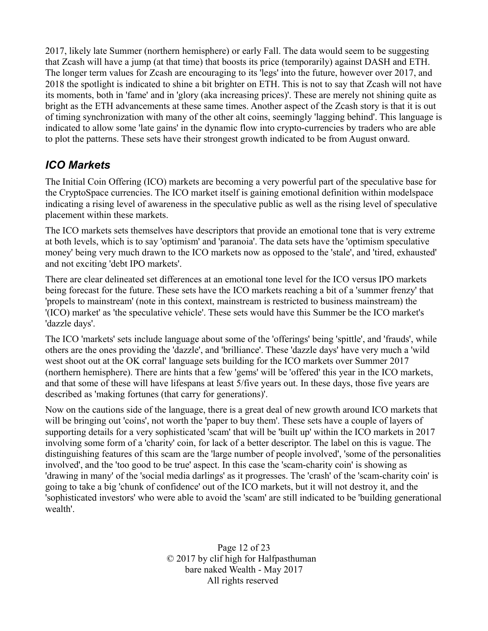2017, likely late Summer (northern hemisphere) or early Fall. The data would seem to be suggesting that Zcash will have a jump (at that time) that boosts its price (temporarily) against DASH and ETH. The longer term values for Zcash are encouraging to its 'legs' into the future, however over 2017, and 2018 the spotlight is indicated to shine a bit brighter on ETH. This is not to say that Zcash will not have its moments, both in 'fame' and in 'glory (aka increasing prices)'. These are merely not shining quite as bright as the ETH advancements at these same times. Another aspect of the Zcash story is that it is out of timing synchronization with many of the other alt coins, seemingly 'lagging behind'. This language is indicated to allow some 'late gains' in the dynamic flow into crypto-currencies by traders who are able to plot the patterns. These sets have their strongest growth indicated to be from August onward.

# *ICO Markets*

The Initial Coin Offering (ICO) markets are becoming a very powerful part of the speculative base for the CryptoSpace currencies. The ICO market itself is gaining emotional definition within modelspace indicating a rising level of awareness in the speculative public as well as the rising level of speculative placement within these markets.

The ICO markets sets themselves have descriptors that provide an emotional tone that is very extreme at both levels, which is to say 'optimism' and 'paranoia'. The data sets have the 'optimism speculative money' being very much drawn to the ICO markets now as opposed to the 'stale', and 'tired, exhausted' and not exciting 'debt IPO markets'.

There are clear delineated set differences at an emotional tone level for the ICO versus IPO markets being forecast for the future. These sets have the ICO markets reaching a bit of a 'summer frenzy' that 'propels to mainstream' (note in this context, mainstream is restricted to business mainstream) the '(ICO) market' as 'the speculative vehicle'. These sets would have this Summer be the ICO market's 'dazzle days'.

The ICO 'markets' sets include language about some of the 'offerings' being 'spittle', and 'frauds', while others are the ones providing the 'dazzle', and 'brilliance'. These 'dazzle days' have very much a 'wild west shoot out at the OK corral' language sets building for the ICO markets over Summer 2017 (northern hemisphere). There are hints that a few 'gems' will be 'offered' this year in the ICO markets, and that some of these will have lifespans at least 5/five years out. In these days, those five years are described as 'making fortunes (that carry for generations)'.

Now on the cautions side of the language, there is a great deal of new growth around ICO markets that will be bringing out 'coins', not worth the 'paper to buy them'. These sets have a couple of layers of supporting details for a very sophisticated 'scam' that will be 'built up' within the ICO markets in 2017 involving some form of a 'charity' coin, for lack of a better descriptor. The label on this is vague. The distinguishing features of this scam are the 'large number of people involved', 'some of the personalities involved', and the 'too good to be true' aspect. In this case the 'scam-charity coin' is showing as 'drawing in many' of the 'social media darlings' as it progresses. The 'crash' of the 'scam-charity coin' is going to take a big 'chunk of confidence' out of the ICO markets, but it will not destroy it, and the 'sophisticated investors' who were able to avoid the 'scam' are still indicated to be 'building generational wealth'.

> Page 12 of 23 © 2017 by clif high for Halfpasthuman bare naked Wealth - May 2017 All rights reserved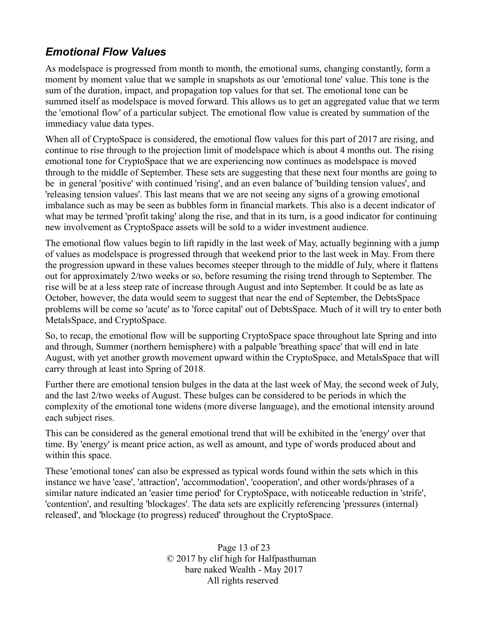# *Emotional Flow Values*

As modelspace is progressed from month to month, the emotional sums, changing constantly, form a moment by moment value that we sample in snapshots as our 'emotional tone' value. This tone is the sum of the duration, impact, and propagation top values for that set. The emotional tone can be summed itself as modelspace is moved forward. This allows us to get an aggregated value that we term the 'emotional flow' of a particular subject. The emotional flow value is created by summation of the immediacy value data types.

When all of CryptoSpace is considered, the emotional flow values for this part of 2017 are rising, and continue to rise through to the projection limit of modelspace which is about 4 months out. The rising emotional tone for CryptoSpace that we are experiencing now continues as modelspace is moved through to the middle of September. These sets are suggesting that these next four months are going to be in general 'positive' with continued 'rising', and an even balance of 'building tension values', and 'releasing tension values'. This last means that we are not seeing any signs of a growing emotional imbalance such as may be seen as bubbles form in financial markets. This also is a decent indicator of what may be termed 'profit taking' along the rise, and that in its turn, is a good indicator for continuing new involvement as CryptoSpace assets will be sold to a wider investment audience.

The emotional flow values begin to lift rapidly in the last week of May, actually beginning with a jump of values as modelspace is progressed through that weekend prior to the last week in May. From there the progression upward in these values becomes steeper through to the middle of July, where it flattens out for approximately 2/two weeks or so, before resuming the rising trend through to September. The rise will be at a less steep rate of increase through August and into September. It could be as late as October, however, the data would seem to suggest that near the end of September, the DebtsSpace problems will be come so 'acute' as to 'force capital' out of DebtsSpace. Much of it will try to enter both MetalsSpace, and CryptoSpace.

So, to recap, the emotional flow will be supporting CryptoSpace space throughout late Spring and into and through, Summer (northern hemisphere) with a palpable 'breathing space' that will end in late August, with yet another growth movement upward within the CryptoSpace, and MetalsSpace that will carry through at least into Spring of 2018.

Further there are emotional tension bulges in the data at the last week of May, the second week of July, and the last 2/two weeks of August. These bulges can be considered to be periods in which the complexity of the emotional tone widens (more diverse language), and the emotional intensity around each subject rises.

This can be considered as the general emotional trend that will be exhibited in the 'energy' over that time. By 'energy' is meant price action, as well as amount, and type of words produced about and within this space.

These 'emotional tones' can also be expressed as typical words found within the sets which in this instance we have 'ease', 'attraction', 'accommodation', 'cooperation', and other words/phrases of a similar nature indicated an 'easier time period' for CryptoSpace, with noticeable reduction in 'strife', 'contention', and resulting 'blockages'. The data sets are explicitly referencing 'pressures (internal) released', and 'blockage (to progress) reduced' throughout the CryptoSpace.

> Page 13 of 23 © 2017 by clif high for Halfpasthuman bare naked Wealth - May 2017 All rights reserved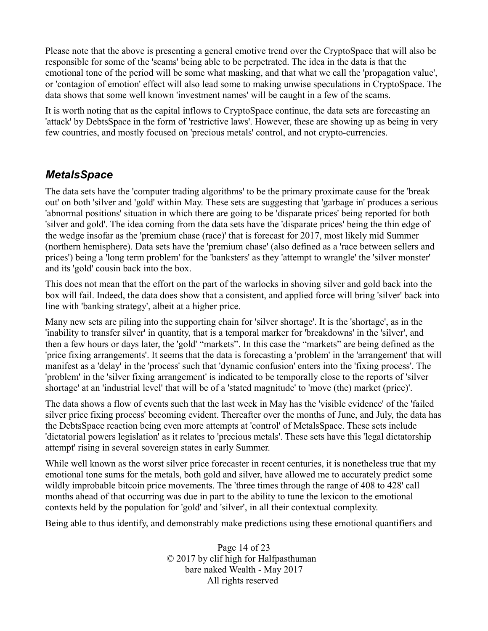Please note that the above is presenting a general emotive trend over the CryptoSpace that will also be responsible for some of the 'scams' being able to be perpetrated. The idea in the data is that the emotional tone of the period will be some what masking, and that what we call the 'propagation value', or 'contagion of emotion' effect will also lead some to making unwise speculations in CryptoSpace. The data shows that some well known 'investment names' will be caught in a few of the scams.

It is worth noting that as the capital inflows to CryptoSpace continue, the data sets are forecasting an 'attack' by DebtsSpace in the form of 'restrictive laws'. However, these are showing up as being in very few countries, and mostly focused on 'precious metals' control, and not crypto-currencies.

#### *MetalsSpace*

The data sets have the 'computer trading algorithms' to be the primary proximate cause for the 'break out' on both 'silver and 'gold' within May. These sets are suggesting that 'garbage in' produces a serious 'abnormal positions' situation in which there are going to be 'disparate prices' being reported for both 'silver and gold'. The idea coming from the data sets have the 'disparate prices' being the thin edge of the wedge insofar as the 'premium chase (race)' that is forecast for 2017, most likely mid Summer (northern hemisphere). Data sets have the 'premium chase' (also defined as a 'race between sellers and prices') being a 'long term problem' for the 'banksters' as they 'attempt to wrangle' the 'silver monster' and its 'gold' cousin back into the box.

This does not mean that the effort on the part of the warlocks in shoving silver and gold back into the box will fail. Indeed, the data does show that a consistent, and applied force will bring 'silver' back into line with 'banking strategy', albeit at a higher price.

Many new sets are piling into the supporting chain for 'silver shortage'. It is the 'shortage', as in the 'inability to transfer silver' in quantity, that is a temporal marker for 'breakdowns' in the 'silver', and then a few hours or days later, the 'gold' "markets". In this case the "markets" are being defined as the 'price fixing arrangements'. It seems that the data is forecasting a 'problem' in the 'arrangement' that will manifest as a 'delay' in the 'process' such that 'dynamic confusion' enters into the 'fixing process'. The 'problem' in the 'silver fixing arrangement' is indicated to be temporally close to the reports of 'silver shortage' at an 'industrial level' that will be of a 'stated magnitude' to 'move (the) market (price)'.

The data shows a flow of events such that the last week in May has the 'visible evidence' of the 'failed silver price fixing process' becoming evident. Thereafter over the months of June, and July, the data has the DebtsSpace reaction being even more attempts at 'control' of MetalsSpace. These sets include 'dictatorial powers legislation' as it relates to 'precious metals'. These sets have this 'legal dictatorship attempt' rising in several sovereign states in early Summer.

While well known as the worst silver price forecaster in recent centuries, it is nonetheless true that my emotional tone sums for the metals, both gold and silver, have allowed me to accurately predict some wildly improbable bitcoin price movements. The 'three times through the range of 408 to 428' call months ahead of that occurring was due in part to the ability to tune the lexicon to the emotional contexts held by the population for 'gold' and 'silver', in all their contextual complexity.

Being able to thus identify, and demonstrably make predictions using these emotional quantifiers and

Page 14 of 23 © 2017 by clif high for Halfpasthuman bare naked Wealth - May 2017 All rights reserved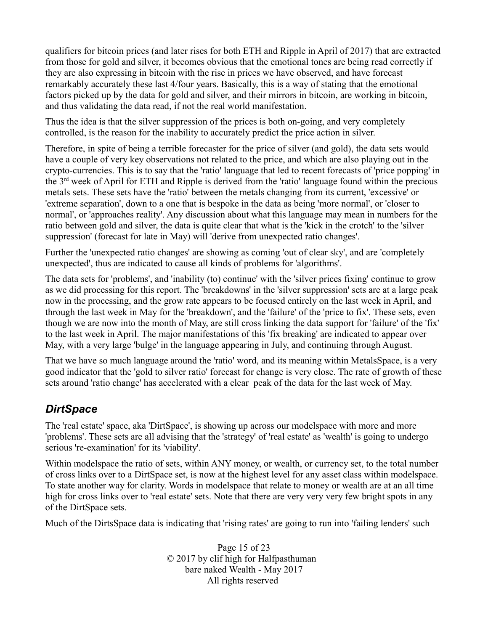qualifiers for bitcoin prices (and later rises for both ETH and Ripple in April of 2017) that are extracted from those for gold and silver, it becomes obvious that the emotional tones are being read correctly if they are also expressing in bitcoin with the rise in prices we have observed, and have forecast remarkably accurately these last 4/four years. Basically, this is a way of stating that the emotional factors picked up by the data for gold and silver, and their mirrors in bitcoin, are working in bitcoin, and thus validating the data read, if not the real world manifestation.

Thus the idea is that the silver suppression of the prices is both on-going, and very completely controlled, is the reason for the inability to accurately predict the price action in silver.

Therefore, in spite of being a terrible forecaster for the price of silver (and gold), the data sets would have a couple of very key observations not related to the price, and which are also playing out in the crypto-currencies. This is to say that the 'ratio' language that led to recent forecasts of 'price popping' in the 3rd week of April for ETH and Ripple is derived from the 'ratio' language found within the precious metals sets. These sets have the 'ratio' between the metals changing from its current, 'excessive' or 'extreme separation', down to a one that is bespoke in the data as being 'more normal', or 'closer to normal', or 'approaches reality'. Any discussion about what this language may mean in numbers for the ratio between gold and silver, the data is quite clear that what is the 'kick in the crotch' to the 'silver suppression' (forecast for late in May) will 'derive from unexpected ratio changes'.

Further the 'unexpected ratio changes' are showing as coming 'out of clear sky', and are 'completely unexpected', thus are indicated to cause all kinds of problems for 'algorithms'.

The data sets for 'problems', and 'inability (to) continue' with the 'silver prices fixing' continue to grow as we did processing for this report. The 'breakdowns' in the 'silver suppression' sets are at a large peak now in the processing, and the grow rate appears to be focused entirely on the last week in April, and through the last week in May for the 'breakdown', and the 'failure' of the 'price to fix'. These sets, even though we are now into the month of May, are still cross linking the data support for 'failure' of the 'fix' to the last week in April. The major manifestations of this 'fix breaking' are indicated to appear over May, with a very large 'bulge' in the language appearing in July, and continuing through August.

That we have so much language around the 'ratio' word, and its meaning within MetalsSpace, is a very good indicator that the 'gold to silver ratio' forecast for change is very close. The rate of growth of these sets around 'ratio change' has accelerated with a clear peak of the data for the last week of May.

# *DirtSpace*

The 'real estate' space, aka 'DirtSpace', is showing up across our modelspace with more and more 'problems'. These sets are all advising that the 'strategy' of 'real estate' as 'wealth' is going to undergo serious 're-examination' for its 'viability'.

Within modelspace the ratio of sets, within ANY money, or wealth, or currency set, to the total number of cross links over to a DirtSpace set, is now at the highest level for any asset class within modelspace. To state another way for clarity. Words in modelspace that relate to money or wealth are at an all time high for cross links over to 'real estate' sets. Note that there are very very very few bright spots in any of the DirtSpace sets.

Much of the DirtsSpace data is indicating that 'rising rates' are going to run into 'failing lenders' such

Page 15 of 23 © 2017 by clif high for Halfpasthuman bare naked Wealth - May 2017 All rights reserved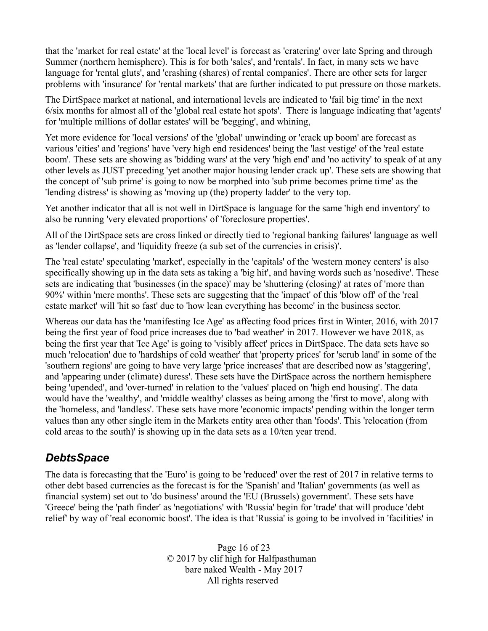that the 'market for real estate' at the 'local level' is forecast as 'cratering' over late Spring and through Summer (northern hemisphere). This is for both 'sales', and 'rentals'. In fact, in many sets we have language for 'rental gluts', and 'crashing (shares) of rental companies'. There are other sets for larger problems with 'insurance' for 'rental markets' that are further indicated to put pressure on those markets.

The DirtSpace market at national, and international levels are indicated to 'fail big time' in the next 6/six months for almost all of the 'global real estate hot spots'. There is language indicating that 'agents' for 'multiple millions of dollar estates' will be 'begging', and whining,

Yet more evidence for 'local versions' of the 'global' unwinding or 'crack up boom' are forecast as various 'cities' and 'regions' have 'very high end residences' being the 'last vestige' of the 'real estate boom'. These sets are showing as 'bidding wars' at the very 'high end' and 'no activity' to speak of at any other levels as JUST preceding 'yet another major housing lender crack up'. These sets are showing that the concept of 'sub prime' is going to now be morphed into 'sub prime becomes prime time' as the 'lending distress' is showing as 'moving up (the) property ladder' to the very top.

Yet another indicator that all is not well in DirtSpace is language for the same 'high end inventory' to also be running 'very elevated proportions' of 'foreclosure properties'.

All of the DirtSpace sets are cross linked or directly tied to 'regional banking failures' language as well as 'lender collapse', and 'liquidity freeze (a sub set of the currencies in crisis)'.

The 'real estate' speculating 'market', especially in the 'capitals' of the 'western money centers' is also specifically showing up in the data sets as taking a 'big hit', and having words such as 'nosedive'. These sets are indicating that 'businesses (in the space)' may be 'shuttering (closing)' at rates of 'more than 90%' within 'mere months'. These sets are suggesting that the 'impact' of this 'blow off' of the 'real estate market' will 'hit so fast' due to 'how lean everything has become' in the business sector.

Whereas our data has the 'manifesting Ice Age' as affecting food prices first in Winter, 2016, with 2017 being the first year of food price increases due to 'bad weather' in 2017. However we have 2018, as being the first year that 'Ice Age' is going to 'visibly affect' prices in DirtSpace. The data sets have so much 'relocation' due to 'hardships of cold weather' that 'property prices' for 'scrub land' in some of the 'southern regions' are going to have very large 'price increases' that are described now as 'staggering', and 'appearing under (climate) duress'. These sets have the DirtSpace across the northern hemisphere being 'upended', and 'over-turned' in relation to the 'values' placed on 'high end housing'. The data would have the 'wealthy', and 'middle wealthy' classes as being among the 'first to move', along with the 'homeless, and 'landless'. These sets have more 'economic impacts' pending within the longer term values than any other single item in the Markets entity area other than 'foods'. This 'relocation (from cold areas to the south)' is showing up in the data sets as a 10/ten year trend.

# *DebtsSpace*

The data is forecasting that the 'Euro' is going to be 'reduced' over the rest of 2017 in relative terms to other debt based currencies as the forecast is for the 'Spanish' and 'Italian' governments (as well as financial system) set out to 'do business' around the 'EU (Brussels) government'. These sets have 'Greece' being the 'path finder' as 'negotiations' with 'Russia' begin for 'trade' that will produce 'debt relief' by way of 'real economic boost'. The idea is that 'Russia' is going to be involved in 'facilities' in

> Page 16 of 23 © 2017 by clif high for Halfpasthuman bare naked Wealth - May 2017 All rights reserved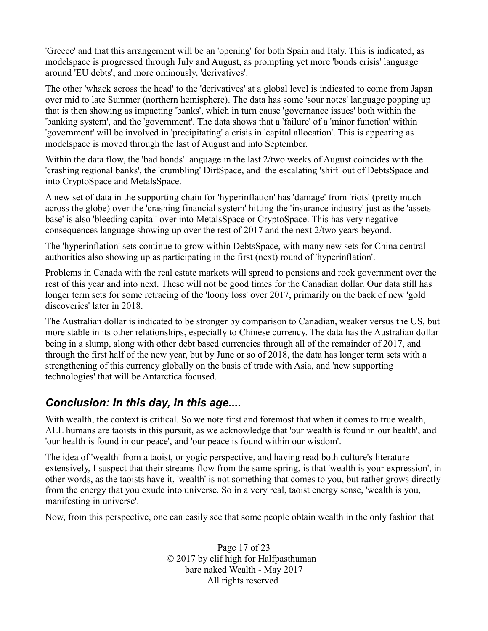'Greece' and that this arrangement will be an 'opening' for both Spain and Italy. This is indicated, as modelspace is progressed through July and August, as prompting yet more 'bonds crisis' language around 'EU debts', and more ominously, 'derivatives'.

The other 'whack across the head' to the 'derivatives' at a global level is indicated to come from Japan over mid to late Summer (northern hemisphere). The data has some 'sour notes' language popping up that is then showing as impacting 'banks', which in turn cause 'governance issues' both within the 'banking system', and the 'government'. The data shows that a 'failure' of a 'minor function' within 'government' will be involved in 'precipitating' a crisis in 'capital allocation'. This is appearing as modelspace is moved through the last of August and into September.

Within the data flow, the 'bad bonds' language in the last 2/two weeks of August coincides with the 'crashing regional banks', the 'crumbling' DirtSpace, and the escalating 'shift' out of DebtsSpace and into CryptoSpace and MetalsSpace.

A new set of data in the supporting chain for 'hyperinflation' has 'damage' from 'riots' (pretty much across the globe) over the 'crashing financial system' hitting the 'insurance industry' just as the 'assets base' is also 'bleeding capital' over into MetalsSpace or CryptoSpace. This has very negative consequences language showing up over the rest of 2017 and the next 2/two years beyond.

The 'hyperinflation' sets continue to grow within DebtsSpace, with many new sets for China central authorities also showing up as participating in the first (next) round of 'hyperinflation'.

Problems in Canada with the real estate markets will spread to pensions and rock government over the rest of this year and into next. These will not be good times for the Canadian dollar. Our data still has longer term sets for some retracing of the 'loony loss' over 2017, primarily on the back of new 'gold discoveries' later in 2018.

The Australian dollar is indicated to be stronger by comparison to Canadian, weaker versus the US, but more stable in its other relationships, especially to Chinese currency. The data has the Australian dollar being in a slump, along with other debt based currencies through all of the remainder of 2017, and through the first half of the new year, but by June or so of 2018, the data has longer term sets with a strengthening of this currency globally on the basis of trade with Asia, and 'new supporting technologies' that will be Antarctica focused.

#### *Conclusion: In this day, in this age....*

With wealth, the context is critical. So we note first and foremost that when it comes to true wealth, ALL humans are taoists in this pursuit, as we acknowledge that 'our wealth is found in our health', and 'our health is found in our peace', and 'our peace is found within our wisdom'.

The idea of 'wealth' from a taoist, or yogic perspective, and having read both culture's literature extensively, I suspect that their streams flow from the same spring, is that 'wealth is your expression', in other words, as the taoists have it, 'wealth' is not something that comes to you, but rather grows directly from the energy that you exude into universe. So in a very real, taoist energy sense, 'wealth is you, manifesting in universe'.

Now, from this perspective, one can easily see that some people obtain wealth in the only fashion that

Page 17 of 23 © 2017 by clif high for Halfpasthuman bare naked Wealth - May 2017 All rights reserved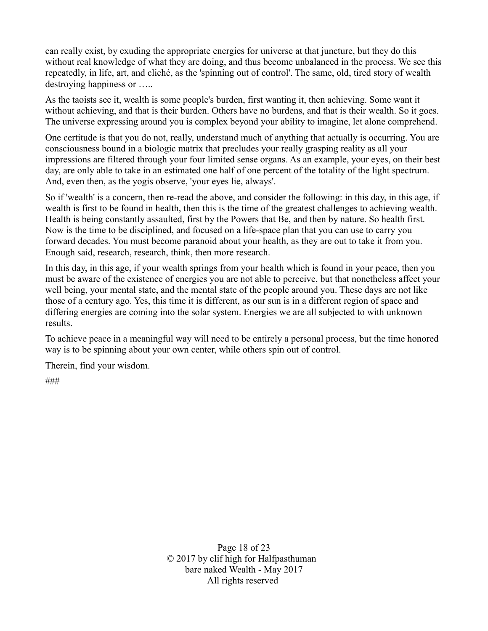can really exist, by exuding the appropriate energies for universe at that juncture, but they do this without real knowledge of what they are doing, and thus become unbalanced in the process. We see this repeatedly, in life, art, and cliché, as the 'spinning out of control'. The same, old, tired story of wealth destroying happiness or …..

As the taoists see it, wealth is some people's burden, first wanting it, then achieving. Some want it without achieving, and that is their burden. Others have no burdens, and that is their wealth. So it goes. The universe expressing around you is complex beyond your ability to imagine, let alone comprehend.

One certitude is that you do not, really, understand much of anything that actually is occurring. You are consciousness bound in a biologic matrix that precludes your really grasping reality as all your impressions are filtered through your four limited sense organs. As an example, your eyes, on their best day, are only able to take in an estimated one half of one percent of the totality of the light spectrum. And, even then, as the yogis observe, 'your eyes lie, always'.

So if 'wealth' is a concern, then re-read the above, and consider the following: in this day, in this age, if wealth is first to be found in health, then this is the time of the greatest challenges to achieving wealth. Health is being constantly assaulted, first by the Powers that Be, and then by nature. So health first. Now is the time to be disciplined, and focused on a life-space plan that you can use to carry you forward decades. You must become paranoid about your health, as they are out to take it from you. Enough said, research, research, think, then more research.

In this day, in this age, if your wealth springs from your health which is found in your peace, then you must be aware of the existence of energies you are not able to perceive, but that nonetheless affect your well being, your mental state, and the mental state of the people around you. These days are not like those of a century ago. Yes, this time it is different, as our sun is in a different region of space and differing energies are coming into the solar system. Energies we are all subjected to with unknown results.

To achieve peace in a meaningful way will need to be entirely a personal process, but the time honored way is to be spinning about your own center, while others spin out of control.

Therein, find your wisdom.

###

Page 18 of 23 © 2017 by clif high for Halfpasthuman bare naked Wealth - May 2017 All rights reserved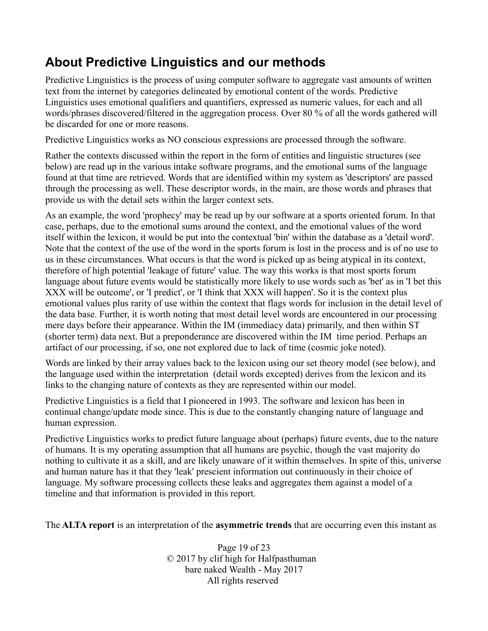# **About Predictive Linguistics and our methods**

Predictive Linguistics is the process of using computer software to aggregate vast amounts of written text from the internet by categories delineated by emotional content of the words. Predictive Linguistics uses emotional qualifiers and quantifiers, expressed as numeric values, for each and all words/phrases discovered/filtered in the aggregation process. Over 80 % of all the words gathered will be discarded for one or more reasons.

Predictive Linguistics works as NO conscious expressions are processed through the software.

Rather the contexts discussed within the report in the form of entities and linguistic structures (see below) are read up in the various intake software programs, and the emotional sums of the language found at that time are retrieved. Words that are identified within my system as 'descriptors' are passed through the processing as well. These descriptor words, in the main, are those words and phrases that provide us with the detail sets within the larger context sets.

As an example, the word 'prophecy' may be read up by our software at a sports oriented forum. In that case, perhaps, due to the emotional sums around the context, and the emotional values of the word itself within the lexicon, it would be put into the contextual 'bin' within the database as a 'detail word'. Note that the context of the use of the word in the sports forum is lost in the process and is of no use to us in these circumstances. What occurs is that the word is picked up as being atypical in its context, therefore of high potential 'leakage of future' value. The way this works is that most sports forum language about future events would be statistically more likely to use words such as 'bet' as in 'I bet this XXX will be outcome', or 'I predict', or 'I think that XXX will happen'. So it is the context plus emotional values plus rarity of use within the context that flags words for inclusion in the detail level of the data base. Further, it is worth noting that most detail level words are encountered in our processing mere days before their appearance. Within the IM (immediacy data) primarily, and then within ST (shorter term) data next. But a preponderance are discovered within the IM time period. Perhaps an artifact of our processing, if so, one not explored due to lack of time (cosmic joke noted).

Words are linked by their array values back to the lexicon using our set theory model (see below), and the language used within the interpretation (detail words excepted) derives from the lexicon and its links to the changing nature of contexts as they are represented within our model.

Predictive Linguistics is a field that I pioneered in 1993. The software and lexicon has been in continual change/update mode since. This is due to the constantly changing nature of language and human expression.

Predictive Linguistics works to predict future language about (perhaps) future events, due to the nature of humans. It is my operating assumption that all humans are psychic, though the vast majority do nothing to cultivate it as a skill, and are likely unaware of it within themselves. In spite of this, universe and human nature has it that they 'leak' prescient information out continuously in their choice of language. My software processing collects these leaks and aggregates them against a model of a timeline and that information is provided in this report.

The **ALTA report** is an interpretation of the **asymmetric trends** that are occurring even this instant as

Page 19 of 23 © 2017 by clif high for Halfpasthuman bare naked Wealth - May 2017 All rights reserved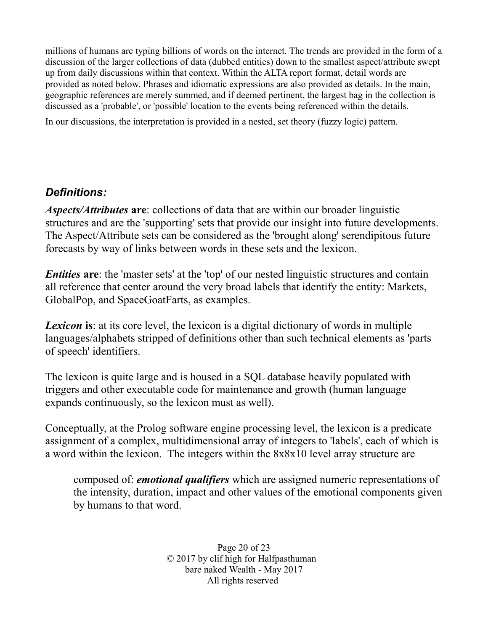millions of humans are typing billions of words on the internet. The trends are provided in the form of a discussion of the larger collections of data (dubbed entities) down to the smallest aspect/attribute swept up from daily discussions within that context. Within the ALTA report format, detail words are provided as noted below. Phrases and idiomatic expressions are also provided as details. In the main, geographic references are merely summed, and if deemed pertinent, the largest bag in the collection is discussed as a 'probable', or 'possible' location to the events being referenced within the details.

In our discussions, the interpretation is provided in a nested, set theory (fuzzy logic) pattern.

#### *Definitions:*

*Aspects/Attributes* **are**: collections of data that are within our broader linguistic structures and are the 'supporting' sets that provide our insight into future developments. The Aspect/Attribute sets can be considered as the 'brought along' serendipitous future forecasts by way of links between words in these sets and the lexicon.

*Entities* are: the 'master sets' at the 'top' of our nested linguistic structures and contain all reference that center around the very broad labels that identify the entity: Markets, GlobalPop, and SpaceGoatFarts, as examples.

**Lexicon** is: at its core level, the lexicon is a digital dictionary of words in multiple languages/alphabets stripped of definitions other than such technical elements as 'parts of speech' identifiers.

The lexicon is quite large and is housed in a SQL database heavily populated with triggers and other executable code for maintenance and growth (human language expands continuously, so the lexicon must as well).

Conceptually, at the Prolog software engine processing level, the lexicon is a predicate assignment of a complex, multidimensional array of integers to 'labels', each of which is a word within the lexicon. The integers within the 8x8x10 level array structure are

composed of: *emotional qualifiers* which are assigned numeric representations of the intensity, duration, impact and other values of the emotional components given by humans to that word.

> Page 20 of 23 © 2017 by clif high for Halfpasthuman bare naked Wealth - May 2017 All rights reserved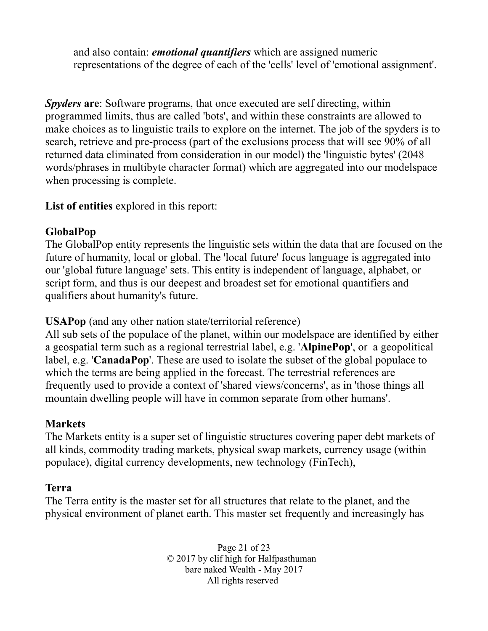and also contain: *emotional quantifiers* which are assigned numeric representations of the degree of each of the 'cells' level of 'emotional assignment'.

*Spyders* **are**: Software programs, that once executed are self directing, within programmed limits, thus are called 'bots', and within these constraints are allowed to make choices as to linguistic trails to explore on the internet. The job of the spyders is to search, retrieve and pre-process (part of the exclusions process that will see 90% of all returned data eliminated from consideration in our model) the 'linguistic bytes' (2048 words/phrases in multibyte character format) which are aggregated into our modelspace when processing is complete.

**List of entities** explored in this report:

#### **GlobalPop**

The GlobalPop entity represents the linguistic sets within the data that are focused on the future of humanity, local or global. The 'local future' focus language is aggregated into our 'global future language' sets. This entity is independent of language, alphabet, or script form, and thus is our deepest and broadest set for emotional quantifiers and qualifiers about humanity's future.

**USAPop** (and any other nation state/territorial reference)

All sub sets of the populace of the planet, within our modelspace are identified by either a geospatial term such as a regional terrestrial label, e.g. '**AlpinePop**', or a geopolitical label, e.g. '**CanadaPop**'. These are used to isolate the subset of the global populace to which the terms are being applied in the forecast. The terrestrial references are frequently used to provide a context of 'shared views/concerns', as in 'those things all mountain dwelling people will have in common separate from other humans'.

#### **Markets**

The Markets entity is a super set of linguistic structures covering paper debt markets of all kinds, commodity trading markets, physical swap markets, currency usage (within populace), digital currency developments, new technology (FinTech),

#### **Terra**

The Terra entity is the master set for all structures that relate to the planet, and the physical environment of planet earth. This master set frequently and increasingly has

> Page 21 of 23 © 2017 by clif high for Halfpasthuman bare naked Wealth - May 2017 All rights reserved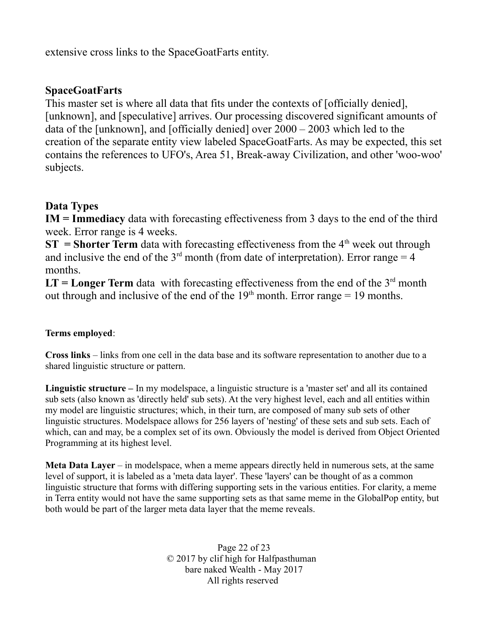extensive cross links to the SpaceGoatFarts entity.

#### **SpaceGoatFarts**

This master set is where all data that fits under the contexts of [officially denied], [unknown], and [speculative] arrives. Our processing discovered significant amounts of data of the [unknown], and [officially denied] over 2000 – 2003 which led to the creation of the separate entity view labeled SpaceGoatFarts. As may be expected, this set contains the references to UFO's, Area 51, Break-away Civilization, and other 'woo-woo' subjects.

#### **Data Types**

**IM = Immediacy** data with forecasting effectiveness from 3 days to the end of the third week. Error range is 4 weeks.

**ST** = **Shorter Term** data with forecasting effectiveness from the  $4<sup>th</sup>$  week out through and inclusive the end of the  $3<sup>rd</sup>$  month (from date of interpretation). Error range = 4 months.

 $LT = Longer Term$  data with forecasting effectiveness from the end of the  $3<sup>rd</sup>$  month out through and inclusive of the end of the  $19<sup>th</sup>$  month. Error range = 19 months.

#### **Terms employed**:

**Cross links** – links from one cell in the data base and its software representation to another due to a shared linguistic structure or pattern.

**Linguistic structure –** In my modelspace, a linguistic structure is a 'master set' and all its contained sub sets (also known as 'directly held' sub sets). At the very highest level, each and all entities within my model are linguistic structures; which, in their turn, are composed of many sub sets of other linguistic structures. Modelspace allows for 256 layers of 'nesting' of these sets and sub sets. Each of which, can and may, be a complex set of its own. Obviously the model is derived from Object Oriented Programming at its highest level.

**Meta Data Layer** – in modelspace, when a meme appears directly held in numerous sets, at the same level of support, it is labeled as a 'meta data layer'. These 'layers' can be thought of as a common linguistic structure that forms with differing supporting sets in the various entities. For clarity, a meme in Terra entity would not have the same supporting sets as that same meme in the GlobalPop entity, but both would be part of the larger meta data layer that the meme reveals.

> Page 22 of 23 © 2017 by clif high for Halfpasthuman bare naked Wealth - May 2017 All rights reserved